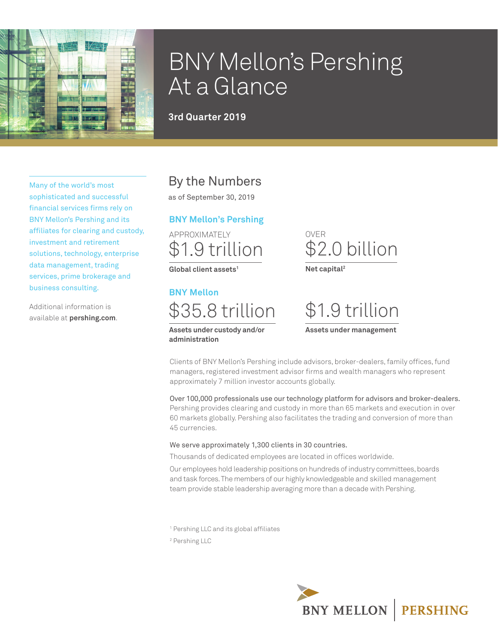

# BNY Mellon's Pershing At a Glance

**3rd Quarter 2019**

Many of the world's most sophisticated and successful financial services firms rely on BNY Mellon's Pershing and its affiliates for clearing and custody, investment and retirement solutions, technology, enterprise data management, trading services, prime brokerage and business consulting.

Additional information is available at **pershing.com**.

### By the Numbers

as of September 30, 2019

### **BNY Mellon's Pershing**

APPROXIMATELY \$1.9 trillion

**Global client assets1**

# **BNY Mellon**

\$35.8 trillion **Assets under custody and/or** 

**administration**

OVER \$2.0 billion **Net capital2**

\$1.9 trillion **Assets under management**

Clients of BNY Mellon's Pershing include advisors, broker-dealers, family offices, fund managers, registered investment advisor firms and wealth managers who represent approximately 7 million investor accounts globally.

Over 100,000 professionals use our technology platform for advisors and broker-dealers. Pershing provides clearing and custody in more than 65 markets and execution in over 60 markets globally. Pershing also facilitates the trading and conversion of more than 45 currencies.

### We serve approximately 1,300 clients in 30 countries.

Thousands of dedicated employees are located in offices worldwide.

Our employees hold leadership positions on hundreds of industry committees, boards and task forces. The members of our highly knowledgeable and skilled management team provide stable leadership averaging more than a decade with Pershing.

1 Pershing LLC and its global affiliates

2 Pershing LLC

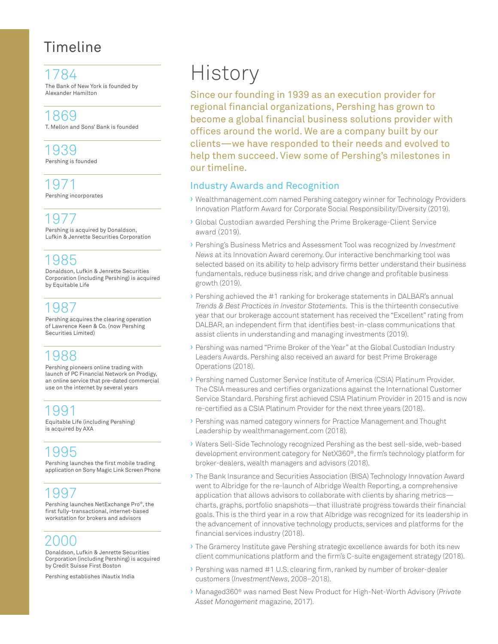# Timeline

1784 The Bank of New York is founded by Alexander Hamilton

1869 T. Mellon and Sons' Bank is founded

1939 Pershing is founded

1971 Pershing incorporates

1977 Pershing is acquired by Donaldson, Lufkin & Jenrette Securities Corporation

### 1985

Donaldson, Lufkin & Jenrette Securities Corporation (including Pershing) is acquired by Equitable Life

### 1987

Pershing acquires the clearing operation of Lawrence Keen & Co. (now Pershing Securities Limited)

### 1988

Pershing pioneers online trading with launch of PC Financial Network on Prodigy, an online service that pre-dated commercial use on the internet by several years

## 1991

Equitable Life (including Pershing) is acquired by AXA

## 1995

Pershing launches the first mobile trading application on Sony Magic Link Screen Phone

### 1997

Pershing launches NetExchange Pro®, the first fully-transactional, internet-based workstation for brokers and advisors

## 2000

Donaldson, Lufkin & Jenrette Securities Corporation (including Pershing) is acquired by Credit Suisse First Boston

Pershing establishes iNautix India

# **History**

Since our founding in 1939 as an execution provider for regional financial organizations, Pershing has grown to become a global financial business solutions provider with offices around the world. We are a company built by our clients—we have responded to their needs and evolved to help them succeed. View some of Pershing's milestones in our timeline.

### Industry Awards and Recognition

- › Wealthmanagement.com named Pershing category winner for Technology Providers Innovation Platform Award for Corporate Social Responsibility/Diversity (2019).
- › Global Custodian awarded Pershing the Prime Brokerage-Client Service award (2019).
- › Pershing's Business Metrics and Assessment Tool was recognized by *Investment News* at its Innovation Award ceremony. Our interactive benchmarking tool was selected based on its ability to help advisory firms better understand their business fundamentals, reduce business risk, and drive change and profitable business growth (2019).
- › Pershing achieved the #1 ranking for brokerage statements in DALBAR's annual *Trends & Best Practices in Investor Statements*. This is the thirteenth consecutive year that our brokerage account statement has received the "Excellent" rating from DALBAR, an independent firm that identifies best-in-class communications that assist clients in understanding and managing investments (2019).
- › Pershing was named "Prime Broker of the Year" at the Global Custodian Industry Leaders Awards. Pershing also received an award for best Prime Brokerage Operations (2018).
- › Pershing named Customer Service Institute of America (CSIA) Platinum Provider. The CSIA measures and certifies organizations against the International Customer Service Standard. Pershing first achieved CSIA Platinum Provider in 2015 and is now re-certified as a CSIA Platinum Provider for the next three years (2018).
- › Pershing was named category winners for Practice Management and Thought Leadership by wealthmanagement.com (2018).
- › Waters Sell-Side Technology recognized Pershing as the best sell-side, web-based development environment category for NetX360®, the firm's technology platform for broker-dealers, wealth managers and advisors (2018).
- › The Bank Insurance and Securities Association (BISA) Technology Innovation Award went to Albridge for the re-launch of Albridge Wealth Reporting, a comprehensive application that allows advisors to collaborate with clients by sharing metrics charts, graphs, portfolio snapshots—that illustrate progress towards their financial goals. This is the third year in a row that Albridge was recognized for its leadership in the advancement of innovative technology products, services and platforms for the financial services industry (2018).
- › The Gramercy Institute gave Pershing strategic excellence awards for both its new client communications platform and the firm's C-suite engagement strategy (2018).
- › Pershing was named #1 U.S. clearing firm, ranked by number of broker-dealer customers (*InvestmentNews*, 2008–2018).
- › Managed360® was named Best New Product for High-Net-Worth Advisory (*Private Asset Management* magazine, 2017).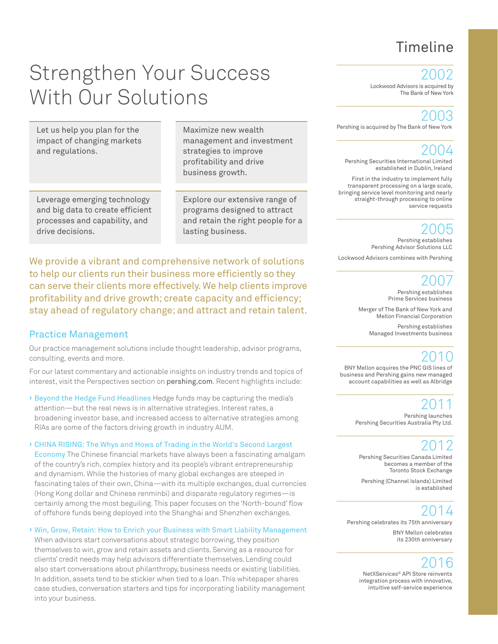# Timeline

# Strengthen Your Success With Our Solutions

Let us help you plan for the impact of changing markets and regulations.

Maximize new wealth management and investment strategies to improve profitability and drive business growth.

Leverage emerging technology and big data to create efficient processes and capability, and drive decisions.

Explore our extensive range of programs designed to attract and retain the right people for a lasting business.

We provide a vibrant and comprehensive network of solutions to help our clients run their business more efficiently so they can serve their clients more effectively. We help clients improve profitability and drive growth; create capacity and efficiency; stay ahead of regulatory change; and attract and retain talent.

### Practice Management

Our practice management solutions include thought leadership, advisor programs, consulting, events and more.

For our latest commentary and actionable insights on industry trends and topics of interest, visit the Perspectives section on pershing.com. Recent highlights include:

› Beyond the Hedge Fund Headlines Hedge funds may be capturing the media's attention—but the real news is in alternative strategies. Interest rates, a broadening investor base, and increased access to alternative strategies among RIAs are some of the factors driving growth in industry AUM.

› CHINA RISING: The Whys and Hows of Trading in the World's Second Largest Economy The Chinese financial markets have always been a fascinating amalgam

of the country's rich, complex history and its people's vibrant entrepreneurship and dynamism. While the histories of many global exchanges are steeped in fascinating tales of their own, China—with its multiple exchanges, dual currencies (Hong Kong dollar and Chinese renminbi) and disparate regulatory regimes—is certainly among the most beguiling. This paper focuses on the 'North-bound' flow of offshore funds being deployed into the Shanghai and Shenzhen exchanges.

### › Win, Grow, Retain: How to Enrich your Business with Smart Liability Management

When advisors start conversations about strategic borrowing, they position themselves to win, grow and retain assets and clients. Serving as a resource for clients' credit needs may help advisors differentiate themselves. Lending could also start conversations about philanthropy, business needs or existing liabilities. In addition, assets tend to be stickier when tied to a loan. This whitepaper shares case studies, conversation starters and tips for incorporating liability management into your business.

2002

Lockwood Advisors is acquired by The Bank of New York

### 2003

Pershing is acquired by The Bank of New York

2004 Pershing Securities International Limited established in Dublin, Ireland

First in the industry to implement fully transparent processing on a large scale, bringing service level monitoring and nearly straight-through processing to online service requests

### 2005

Pershing establishes Pershing Advisor Solutions LLC Lockwood Advisors combines with Pershing

### 2007

Pershing establishes Prime Services business

Merger of The Bank of New York and Mellon Financial Corporation

Pershing establishes Managed Investments business

### 2010

BNY Mellon acquires the PNC GIS lines of business and Pershing gains new managed account capabilities as well as Albridge

### 2011

Pershing launches Pershing Securities Australia Pty Ltd.

2012 Pershing Securities Canada Limited becomes a member of the Toronto Stock Exchange

Pershing (Channel Islands) Limited is established

# 2014

Pershing celebrates its 75th anniversary

BNY Mellon celebrates its 230th anniversary

### 2016

NetXServices® API Store reinvents integration process with innovative, intuitive self-service experience